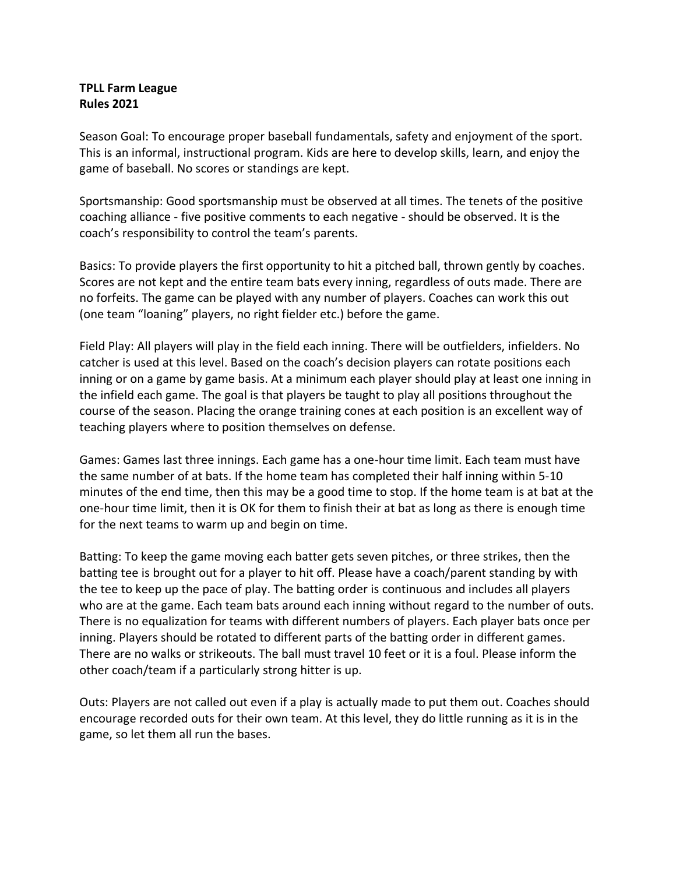## **TPLL Farm League Rules 2021**

Season Goal: To encourage proper baseball fundamentals, safety and enjoyment of the sport. This is an informal, instructional program. Kids are here to develop skills, learn, and enjoy the game of baseball. No scores or standings are kept.

Sportsmanship: Good sportsmanship must be observed at all times. The tenets of the positive coaching alliance - five positive comments to each negative - should be observed. It is the coach's responsibility to control the team's parents.

Basics: To provide players the first opportunity to hit a pitched ball, thrown gently by coaches. Scores are not kept and the entire team bats every inning, regardless of outs made. There are no forfeits. The game can be played with any number of players. Coaches can work this out (one team "loaning" players, no right fielder etc.) before the game.

Field Play: All players will play in the field each inning. There will be outfielders, infielders. No catcher is used at this level. Based on the coach's decision players can rotate positions each inning or on a game by game basis. At a minimum each player should play at least one inning in the infield each game. The goal is that players be taught to play all positions throughout the course of the season. Placing the orange training cones at each position is an excellent way of teaching players where to position themselves on defense.

Games: Games last three innings. Each game has a one-hour time limit. Each team must have the same number of at bats. If the home team has completed their half inning within 5-10 minutes of the end time, then this may be a good time to stop. If the home team is at bat at the one-hour time limit, then it is OK for them to finish their at bat as long as there is enough time for the next teams to warm up and begin on time.

Batting: To keep the game moving each batter gets seven pitches, or three strikes, then the batting tee is brought out for a player to hit off. Please have a coach/parent standing by with the tee to keep up the pace of play. The batting order is continuous and includes all players who are at the game. Each team bats around each inning without regard to the number of outs. There is no equalization for teams with different numbers of players. Each player bats once per inning. Players should be rotated to different parts of the batting order in different games. There are no walks or strikeouts. The ball must travel 10 feet or it is a foul. Please inform the other coach/team if a particularly strong hitter is up.

Outs: Players are not called out even if a play is actually made to put them out. Coaches should encourage recorded outs for their own team. At this level, they do little running as it is in the game, so let them all run the bases.